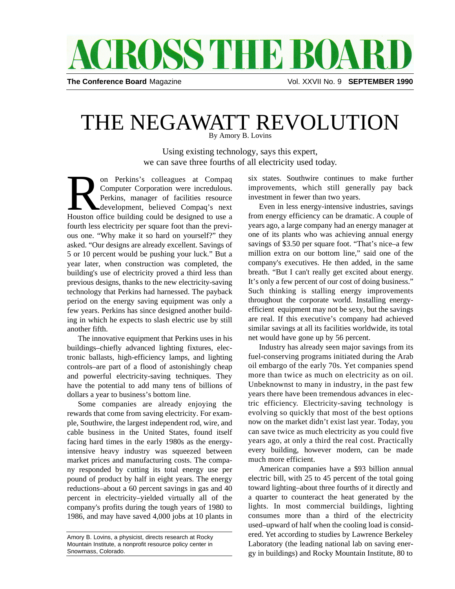## **ACROSS THE BOAR**

**The Conference Board** Magazine **Vol. XXVII No. 9 SEPTEMBER 1990** 

## THE NEGAWATT REVOLUTION By Amory B. Lovins

Using existing technology, says this expert, we can save three fourths of all electricity used today.

on Perkins's colleagues at Compaq<br>
Computer Corporation were incredulous.<br>
Perkins, manager of facilities resource<br>
development, believed Compaq's next<br>
Houston office building could be designed to use a on Perkins's colleagues at Compaq Computer Corporation were incredulous. Perkins, manager of facilities resource development, believed Compaq's next fourth less electricity per square foot than the previous one. "Why make it so hard on yourself?" they asked. "Our designs are already excellent. Savings of 5 or 10 percent would be pushing your luck." But a year later, when construction was completed, the building's use of electricity proved a third less than previous designs, thanks to the new electricity-saving technology that Perkins had harnessed. The payback period on the energy saving equipment was only a few years. Perkins has since designed another building in which he expects to slash electric use by still another fifth.

The innovative equipment that Perkins uses in his buildings–chiefly advanced lighting fixtures, electronic ballasts, high-efficiency lamps, and lighting controls–are part of a flood of astonishingly cheap and powerful electricity-saving techniques. They have the potential to add many tens of billions of dollars a year to business's bottom line.

Some companies are already enjoying the rewards that come from saving electricity. For example, Southwire, the largest independent rod, wire, and cable business in the United States, found itself facing hard times in the early 1980s as the energyintensive heavy industry was squeezed between market prices and manufacturing costs. The company responded by cutting its total energy use per pound of product by half in eight years. The energy reductions–about a 60 percent savings in gas and 40 percent in electricity–yielded virtually all of the company's profits during the tough years of 1980 to 1986, and may have saved 4,000 jobs at 10 plants in

six states. Southwire continues to make further improvements, which still generally pay back investment in fewer than two years.

Even in less energy-intensive industries, savings from energy efficiency can be dramatic. A couple of years ago, a large company had an energy manager at one of its plants who was achieving annual energy savings of \$3.50 per square foot. "That's nice–a few million extra on our bottom line," said one of the company's executives. He then added, in the same breath. "But I can't really get excited about energy. It's only a few percent of our cost of doing business." Such thinking is stalling energy improvements throughout the corporate world. Installing energyefficient equipment may not be sexy, but the savings are real. If this executive's company had achieved similar savings at all its facilities worldwide, its total net would have gone up by 56 percent.

Industry has already seen major savings from its fuel-conserving programs initiated during the Arab oil embargo of the early 70s. Yet companies spend more than twice as much on electricity as on oil. Unbeknownst to many in industry, in the past few years there have been tremendous advances in electric efficiency. Electricity-saving technology is evolving so quickly that most of the best options now on the market didn't exist last year. Today, you can save twice as much electricity as you could five years ago, at only a third the real cost. Practically every building, however modern, can be made much more efficient.

American companies have a \$93 billion annual electric bill, with 25 to 45 percent of the total going toward lighting–about three fourths of it directly and a quarter to counteract the heat generated by the lights. In most commercial buildings, lighting consumes more than a third of the electricity used–upward of half when the cooling load is considered. Yet according to studies by Lawrence Berkeley Laboratory (the leading national lab on saving energy in buildings) and Rocky Mountain Institute, 80 to

Amory B. Lovins, a physicist, directs research at Rocky Mountain Institute, a nonprofit resource policy center in Snowmass, Colorado.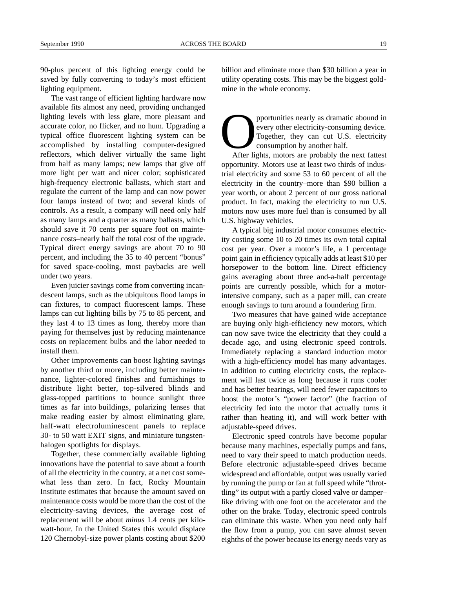90-plus percent of this lighting energy could be saved by fully converting to today's most efficient lighting equipment.

The vast range of efficient lighting hardware now available fits almost any need, providing unchanged lighting levels with less glare, more pleasant and accurate color, no flicker, and no hum. Upgrading a typical office fluorescent lighting system can be accomplished by installing computer-designed reflectors, which deliver virtually the same light from half as many lamps; new lamps that give off more light per watt and nicer color; sophisticated high-frequency electronic ballasts, which start and regulate the current of the lamp and can now power four lamps instead of two; and several kinds of controls. As a result, a company will need only half as many lamps and a quarter as many ballasts, which should save it 70 cents per square foot on maintenance costs–nearly half the total cost of the upgrade. Typical direct energy savings are about 70 to 90 percent, and including the 35 to 40 percent "bonus" for saved space-cooling, most paybacks are well under two years.

Even juicier savings come from converting incandescent lamps, such as the ubiquitous flood lamps in can fixtures, to compact fluorescent lamps. These lamps can cut lighting bills by 75 to 85 percent, and they last 4 to 13 times as long, thereby more than paying for themselves just by reducing maintenance costs on replacement bulbs and the labor needed to install them.

Other improvements can boost lighting savings by another third or more, including better maintenance, lighter-colored finishes and furnishings to distribute light better, top-silvered blinds and glass-topped partitions to bounce sunlight three times as far into buildings, polarizing lenses that make reading easier by almost eliminating glare, half-watt electroluminescent panels to replace 30- to 50 watt EXIT signs, and miniature tungstenhalogen spotlights for displays.

Together, these commercially available lighting innovations have the potential to save about a fourth of all the electricity in the country, at a net cost somewhat less than zero. In fact, Rocky Mountain Institute estimates that because the amount saved on maintenance costs would be more than the cost of the electricity-saving devices, the average cost of replacement will be about *minus* 1.4 cents per kilowatt-hour. In the United States this would displace 120 Chernobyl-size power plants costing about \$200 billion and eliminate more than \$30 billion a year in utility operating costs. This may be the biggest goldmine in the whole economy.

pportunities nearly as dramatic abound in<br>every other electricity-consuming device.<br>Together, they can cut U.S. electricity<br>consumption by another half.<br>After lights, motors are probably the next fattest pportunities nearly as dramatic abound in every other electricity-consuming device. Together, they can cut U.S. electricity consumption by another half.

opportunity. Motors use at least two thirds of industrial electricity and some 53 to 60 percent of all the electricity in the country–more than \$90 billion a year worth, or about 2 percent of our gross national product. In fact, making the electricity to run U.S. motors now uses more fuel than is consumed by all U.S. highway vehicles.

A typical big industrial motor consumes electricity costing some 10 to 20 times its own total capital cost per year. Over a motor's life, a 1 percentage point gain in efficiency typically adds at least \$10 per horsepower to the bottom line. Direct efficiency gains averaging about three and-a-half percentage points are currently possible, which for a motorintensive company, such as a paper mill, can create enough savings to turn around a foundering firm.

Two measures that have gained wide acceptance are buying only high-efficiency new motors, which can now save twice the electricity that they could a decade ago, and using electronic speed controls. Immediately replacing a standard induction motor with a high-efficiency model has many advantages. In addition to cutting electricity costs, the replacement will last twice as long because it runs cooler and has better bearings, will need fewer capacitors to boost the motor's "power factor" (the fraction of electricity fed into the motor that actually turns it rather than heating it), and will work better with adjustable-speed drives.

Electronic speed controls have become popular because many machines, especially pumps and fans, need to vary their speed to match production needs. Before electronic adjustable-speed drives became widespread and affordable, output was usually varied by running the pump or fan at full speed while "throttling" its output with a partly closed valve or damper– like driving with one foot on the accelerator and the other on the brake. Today, electronic speed controls can eliminate this waste. When you need only half the flow from a pump, you can save almost seven eighths of the power because its energy needs vary as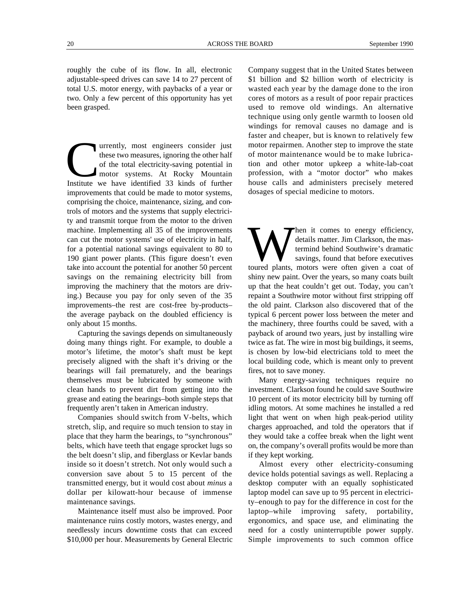roughly the cube of its flow. In all, electronic adjustable-speed drives can save 14 to 27 percent of total U.S. motor energy, with paybacks of a year or two. Only a few percent of this opportunity has yet been grasped.

The University of the set wo measures, ignoring the other half of the total electricity-saving potential in motor systems. At Rocky Mountain Institute we have identified 33 kinds of further urrently, most engineers consider just these two measures, ignoring the other half of the total electricity-saving potential in motor systems. At Rocky Mountain improvements that could be made to motor systems, comprising the choice, maintenance, sizing, and controls of motors and the systems that supply electricity and transmit torque from the motor to the driven machine. Implementing all 35 of the improvements can cut the motor systems' use of electricity in half, for a potential national savings equivalent to 80 to 190 giant power plants. (This figure doesn't even take into account the potential for another 50 percent savings on the remaining electricity bill from improving the machinery that the motors are driving.) Because you pay for only seven of the 35 improvements–the rest are cost-free by-products– the average payback on the doubled efficiency is only about 15 months.

Capturing the savings depends on simultaneously doing many things right. For example, to double a motor's lifetime, the motor's shaft must be kept precisely aligned with the shaft it's driving or the bearings will fail prematurely, and the bearings themselves must be lubricated by someone with clean hands to prevent dirt from getting into the grease and eating the bearings–both simple steps that frequently aren't taken in American industry.

Companies should switch from V-belts, which stretch, slip, and require so much tension to stay in place that they harm the bearings, to "synchronous" belts, which have teeth that engage sprocket lugs so the belt doesn't slip, and fiberglass or Kevlar bands inside so it doesn't stretch. Not only would such a conversion save about 5 to 15 percent of the transmitted energy, but it would cost about *minus* a dollar per kilowatt-hour because of immense maintenance savings.

Maintenance itself must also be improved. Poor maintenance ruins costly motors, wastes energy, and needlessly incurs downtime costs that can exceed \$10,000 per hour. Measurements by General Electric Company suggest that in the United States between \$1 billion and \$2 billion worth of electricity is wasted each year by the damage done to the iron cores of motors as a result of poor repair practices used to remove old windings. An alternative technique using only gentle warmth to loosen old windings for removal causes no damage and is faster and cheaper, but is known to relatively few motor repairmen. Another step to improve the state of motor maintenance would be to make lubrication and other motor upkeep a white-lab-coat profession, with a "motor doctor" who makes house calls and administers precisely metered dosages of special medicine to motors.

W Then it comes to energy efficiency,<br>details matter. Jim Clarkson, the mas-<br>termind behind Southwire's dramatic<br>savings, found that before executives<br>toured plants, motors were often given a coat of hen it comes to energy efficiency, details matter. Jim Clarkson, the mastermind behind Southwire's dramatic savings, found that before executives shiny new paint. Over the years, so many coats built up that the heat couldn't get out. Today, you can't repaint a Southwire motor without first stripping off the old paint. Clarkson also discovered that of the typical 6 percent power loss between the meter and the machinery, three fourths could be saved, with a payback of around two years, just by installing wire twice as fat. The wire in most big buildings, it seems, is chosen by low-bid electricians told to meet the local building code, which is meant only to prevent fires, not to save money.

Many energy-saving techniques require no investment. Clarkson found he could save Southwire 10 percent of its motor electricity bill by turning off idling motors. At some machines he installed a red light that went on when high peak-period utility charges approached, and told the operators that if they would take a coffee break when the light went on, the company's overall profits would be more than if they kept working.

Almost every other electricity-consuming device holds potential savings as well. Replacing a desktop computer with an equally sophisticated laptop model can save up to 95 percent in electricity–enough to pay for the difference in cost for the laptop–while improving safety, portability, ergonomics, and space use, and eliminating the need for a costly uninterruptible power supply. Simple improvements to such common office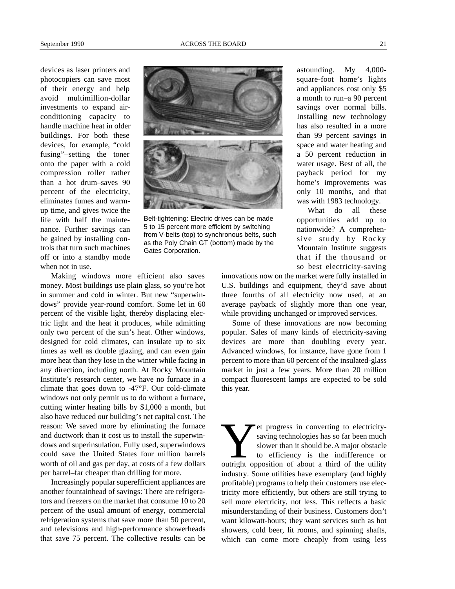devices as laser printers and photocopiers can save most of their energy and help avoid multimillion-dollar investments to expand airconditioning capacity to handle machine heat in older buildings. For both these devices, for example, "cold fusing"–setting the toner onto the paper with a cold compression roller rather than a hot drum–saves 90 percent of the electricity, eliminates fumes and warmup time, and gives twice the life with half the maintenance. Further savings can be gained by installing controls that turn such machines off or into a standby mode when not in use.



Belt-tightening: Electric drives can be made 5 to 15 percent more efficient by switching from V-belts (top) to synchronous belts, such as the Poly Chain GT (bottom) made by the Gates Corporation.

Making windows more efficient also saves money. Most buildings use plain glass, so you're hot in summer and cold in winter. But new "superwindows" provide year-round comfort. Some let in 60 percent of the visible light, thereby displacing electric light and the heat it produces, while admitting only two percent of the sun's heat. Other windows, designed for cold climates, can insulate up to six times as well as double glazing, and can even gain more heat than they lose in the winter while facing in any direction, including north. At Rocky Mountain Institute's research center, we have no furnace in a climate that goes down to -47°F. Our cold-climate windows not only permit us to do without a furnace, cutting winter heating bills by \$1,000 a month, but also have reduced our building's net capital cost. The reason: We saved more by eliminating the furnace and ductwork than it cost us to install the superwindows and superinsulation. Fully used, superwindows could save the United States four million barrels worth of oil and gas per day, at costs of a few dollars per barrel–far cheaper than drilling for more.

Increasingly popular superefficient appliances are another fountainhead of savings: There are refrigerators and freezers on the market that consume 10 to 20 percent of the usual amount of energy, commercial refrigeration systems that save more than 50 percent, and televisions and high-performance showerheads that save 75 percent. The collective results can be astounding. My 4,000 square-foot home's lights and appliances cost only \$5 a month to run–a 90 percent savings over normal bills. Installing new technology has also resulted in a more than 99 percent savings in space and water heating and a 50 percent reduction in water usage. Best of all, the payback period for my home's improvements was only 10 months, and that was with 1983 technology.

What do all these opportunities add up to nationwide? A comprehensive study by Rocky Mountain Institute suggests that if the thousand or so best electricity-saving

innovations now on the market were fully installed in U.S. buildings and equipment, they'd save about three fourths of all electricity now used, at an average payback of slightly more than one year, while providing unchanged or improved services.

Some of these innovations are now becoming popular. Sales of many kinds of electricity-saving devices are more than doubling every year. Advanced windows, for instance, have gone from 1 percent to more than 60 percent of the insulated-glass market in just a few years. More than 20 million compact fluorescent lamps are expected to be sold this year.

External progress in converting to electricity-<br>saving technologies has so far been much<br>slower than it should be. A major obstacle<br>to efficiency is the indifference or<br>outright opposition of about a third of the utility et progress in converting to electricitysaving technologies has so far been much slower than it should be. A major obstacle to efficiency is the indifference or industry. Some utilities have exemplary (and highly profitable) programs to help their customers use electricity more efficiently, but others are still trying to sell more electricity, not less. This reflects a basic misunderstanding of their business. Customers don't want kilowatt-hours; they want services such as hot showers, cold beer, lit rooms, and spinning shafts, which can come more cheaply from using less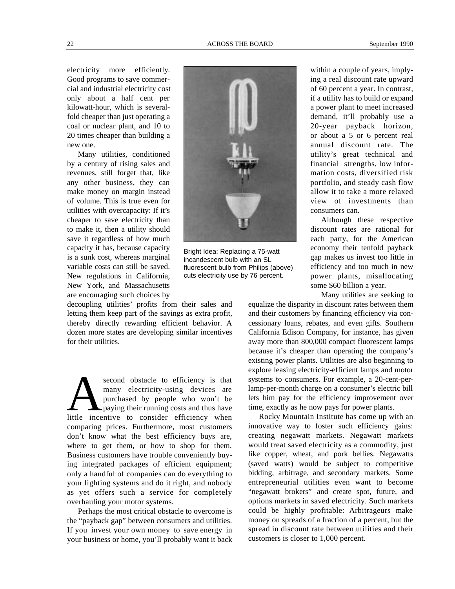electricity more efficiently. Good programs to save commercial and industrial electricity cost only about a half cent per kilowatt-hour, which is severalfold cheaper than just operating a coal or nuclear plant, and 10 to 20 times cheaper than building a new one.

Many utilities, conditioned by a century of rising sales and revenues, still forget that, like any other business, they can make money on margin instead of volume. This is true even for utilities with overcapacity: If it's cheaper to save electricity than to make it, then a utility should save it regardless of how much capacity it has, because capacity is a sunk cost, whereas marginal variable costs can still be saved. New regulations in California, New York, and Massachusetts are encouraging such choices by

decoupling utilities' profits from their sales and letting them keep part of the savings as extra profit, thereby directly rewarding efficient behavior. A dozen more states are developing similar incentives for their utilities.

second obstacle to efficiency is that<br>many electricity-using devices are<br>purchased by people who won't be<br>little incentive to consider efficiency when second obstacle to efficiency is that many electricity-using devices are purchased by people who won't be paying their running costs and thus have comparing prices. Furthermore, most customers don't know what the best efficiency buys are, where to get them, or how to shop for them. Business customers have trouble conveniently buying integrated packages of efficient equipment; only a handful of companies can do everything to your lighting systems and do it right, and nobody as yet offers such a service for completely overhauling your motor systems.

Perhaps the most critical obstacle to overcome is the "payback gap" between consumers and utilities. If you invest your own money to save energy in your business or home, you'll probably want it back within a couple of years, implying a real discount rate upward of 60 percent a year. In contrast, if a utility has to build or expand a power plant to meet increased demand, it'll probably use a 20-year payback horizon, or about a 5 or 6 percent real annual discount rate. The utility's great technical and financial strengths, low information costs, diversified risk portfolio, and steady cash flow allow it to take a more relaxed view of investments than consumers can.

Although these respective discount rates are rational for each party, for the American economy their tenfold payback gap makes us invest too little in efficiency and too much in new power plants, misallocating some \$60 billion a year.

Many utilities are seeking to

equalize the disparity in discount rates between them and their customers by financing efficiency via concessionary loans, rebates, and even gifts. Southern California Edison Company, for instance, has given away more than 800,000 compact fluorescent lamps because it's cheaper than operating the company's existing power plants. Utilities are also beginning to explore leasing electricity-efficient lamps and motor systems to consumers. For example, a 20-cent-perlamp-per-month charge on a consumer's electric bill lets him pay for the efficiency improvement over time, exactly as he now pays for power plants.

Rocky Mountain Institute has come up with an innovative way to foster such efficiency gains: creating negawatt markets. Negawatt markets would treat saved electricity as a commodity, just like copper, wheat, and pork bellies. Negawatts (saved watts) would be subject to competitive bidding, arbitrage, and secondary markets. Some entrepreneurial utilities even want to become "negawatt brokers" and create spot, future, and options markets in saved electricity. Such markets could be highly profitable: Arbitrageurs make money on spreads of a fraction of a percent, but the spread in discount rate between utilities and their customers is closer to 1,000 percent.

Bright Idea: Replacing a 75-watt incandescent bulb with an SL fluorescent bulb from Philips (above) cuts electricity use by 76 percent.